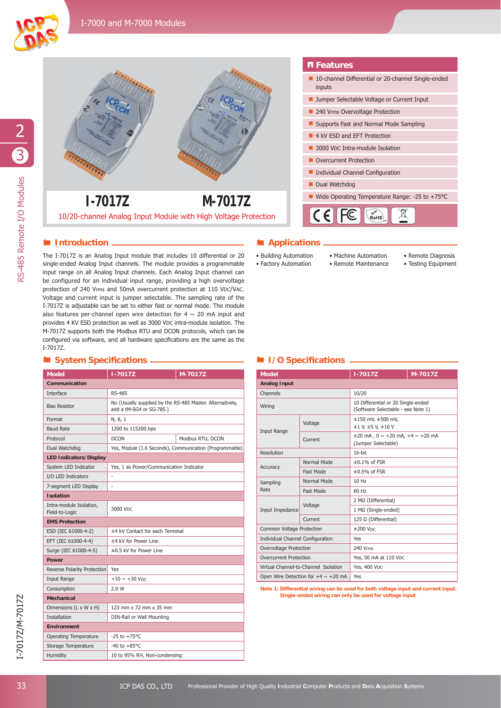



## **System Specifi cations I/O Specifi cations**

|                                           | $1 - 7017Z$                             | M-7017Z                                                                                                                                                                                                                                                                                                                                                                                                                                                                                                                                                                                                                                                                                                                                                                                                                                                                |                                               |                                                                      |                                                                      |
|-------------------------------------------|-----------------------------------------|------------------------------------------------------------------------------------------------------------------------------------------------------------------------------------------------------------------------------------------------------------------------------------------------------------------------------------------------------------------------------------------------------------------------------------------------------------------------------------------------------------------------------------------------------------------------------------------------------------------------------------------------------------------------------------------------------------------------------------------------------------------------------------------------------------------------------------------------------------------------|-----------------------------------------------|----------------------------------------------------------------------|----------------------------------------------------------------------|
|                                           |                                         | 10/20-channel Analog Input Module with High Voltage Protection                                                                                                                                                                                                                                                                                                                                                                                                                                                                                                                                                                                                                                                                                                                                                                                                         |                                               | $ C \in  F \in  $                                                    | $\begin{pmatrix} 1 \\ \mathsf{RoH} \end{pmatrix}$                    |
| Introduction $-$                          |                                         |                                                                                                                                                                                                                                                                                                                                                                                                                                                                                                                                                                                                                                                                                                                                                                                                                                                                        | ■ Applications <sub>-</sub>                   |                                                                      |                                                                      |
| I-7017Z.                                  |                                         | The I-7017Z is an Analog Input module that includes 10 differential or 20<br>single-ended Analog Input channels. The module provides a programmable<br>input range on all Analog Input channels. Each Analog Input channel can<br>be configured for an individual input range, providing a high overvoltage<br>protection of 240 Vrms and 50mA overcurrent protection at 110 VDC/VAC.<br>Voltage and current input is jumper selectable. The sampling rate of the<br>I-7017Z is adjustable can be set to either fast or normal mode. The module<br>also features per-channel open wire detection for $4 \sim 20$ mA input and<br>provides 4 KV ESD protection as well as 3000 VDC intra-module isolation. The<br>M-7017Z supports both the Modbus RTU and DCON protocols, which can be<br>configured via software, and all hardware specifications are the same as the | • Building Automation<br>• Factory Automation |                                                                      | • Machine Automation<br>• Remote Maintenance                         |
| System Specifications _                   |                                         |                                                                                                                                                                                                                                                                                                                                                                                                                                                                                                                                                                                                                                                                                                                                                                                                                                                                        |                                               | I/O Specifications -                                                 |                                                                      |
| <b>Model</b>                              | $1 - 7017Z$                             | M-7017Z                                                                                                                                                                                                                                                                                                                                                                                                                                                                                                                                                                                                                                                                                                                                                                                                                                                                | <b>Model</b>                                  |                                                                      | $1 - 7017Z$                                                          |
| Communication                             |                                         |                                                                                                                                                                                                                                                                                                                                                                                                                                                                                                                                                                                                                                                                                                                                                                                                                                                                        | <b>Analog Input</b>                           |                                                                      |                                                                      |
| Interface                                 | <b>RS-485</b>                           |                                                                                                                                                                                                                                                                                                                                                                                                                                                                                                                                                                                                                                                                                                                                                                                                                                                                        | Channels                                      |                                                                      | 10/20                                                                |
| <b>Bias Resistor</b>                      | add a tM-SG4 or SG-785.)                | No (Usually supplied by the RS-485 Master. Alternatively,                                                                                                                                                                                                                                                                                                                                                                                                                                                                                                                                                                                                                                                                                                                                                                                                              | Wiring                                        |                                                                      | 10 Differential or 20 Single-ende<br>(Software Selectable - see Note |
| Format                                    | N, 8, 1                                 |                                                                                                                                                                                                                                                                                                                                                                                                                                                                                                                                                                                                                                                                                                                                                                                                                                                                        |                                               | Voltage                                                              | $±150$ mV, $±500$ mV,                                                |
| <b>Baud Rate</b>                          | 1200 to 115200 bps                      |                                                                                                                                                                                                                                                                                                                                                                                                                                                                                                                                                                                                                                                                                                                                                                                                                                                                        | Input Range                                   |                                                                      | ±1 V, ±5 V, ±10 V                                                    |
| Protocol                                  | <b>DCON</b>                             | Modbus RTU, DCON                                                                                                                                                                                                                                                                                                                                                                                                                                                                                                                                                                                                                                                                                                                                                                                                                                                       |                                               | Current                                                              | $\pm 20$ mA, $0 \sim +20$ mA, $+4 \sim +2$<br>(Jumper Selectable)    |
| Dual Watchdog                             |                                         | Yes, Module (1.6 Seconds), Communication (Programmable)                                                                                                                                                                                                                                                                                                                                                                                                                                                                                                                                                                                                                                                                                                                                                                                                                | Resolution                                    |                                                                      | 16-bit                                                               |
| <b>LED Indicators/Display</b>             |                                         |                                                                                                                                                                                                                                                                                                                                                                                                                                                                                                                                                                                                                                                                                                                                                                                                                                                                        |                                               | Normal Mode                                                          | $\pm 0.1\%$ of FSR                                                   |
| System LED Indicator                      | Yes, 1 as Power/Communication Indicator |                                                                                                                                                                                                                                                                                                                                                                                                                                                                                                                                                                                                                                                                                                                                                                                                                                                                        | Accuracy                                      | <b>Fast Mode</b>                                                     | $\pm 0.5\%$ of FSR                                                   |
| I/O LED Indicators                        |                                         |                                                                                                                                                                                                                                                                                                                                                                                                                                                                                                                                                                                                                                                                                                                                                                                                                                                                        | Sampling                                      | Normal Mode                                                          | 10 Hz                                                                |
| 7-segment LED Display                     |                                         |                                                                                                                                                                                                                                                                                                                                                                                                                                                                                                                                                                                                                                                                                                                                                                                                                                                                        | Rate                                          | <b>Fast Mode</b>                                                     | 60 Hz                                                                |
| <b>Isolation</b>                          |                                         |                                                                                                                                                                                                                                                                                                                                                                                                                                                                                                                                                                                                                                                                                                                                                                                                                                                                        |                                               |                                                                      | 2 MΩ (Differential)                                                  |
| Intra-module Isolation,<br>Field-to-Logic | 3000 VDC                                |                                                                                                                                                                                                                                                                                                                                                                                                                                                                                                                                                                                                                                                                                                                                                                                                                                                                        | Input Impedance                               | Voltage                                                              | 1 MΩ (Single-ended)                                                  |
| <b>EMS Protection</b>                     |                                         | Current                                                                                                                                                                                                                                                                                                                                                                                                                                                                                                                                                                                                                                                                                                                                                                                                                                                                |                                               |                                                                      | 125 $\Omega$ (Differential)                                          |
| ESD (IEC 61000-4-2)                       | ±4 kV Contact for each Terminal         |                                                                                                                                                                                                                                                                                                                                                                                                                                                                                                                                                                                                                                                                                                                                                                                                                                                                        |                                               | Common Voltage Protection                                            |                                                                      |
| EFT (IEC 61000-4-4)                       | ±4 kV for Power Line                    |                                                                                                                                                                                                                                                                                                                                                                                                                                                                                                                                                                                                                                                                                                                                                                                                                                                                        |                                               | Individual Channel Configuration                                     |                                                                      |
| Surge (IEC 61000-4-5)                     | ±0.5 kV for Power Line                  |                                                                                                                                                                                                                                                                                                                                                                                                                                                                                                                                                                                                                                                                                                                                                                                                                                                                        |                                               | Overvoltage Protection                                               |                                                                      |
| <b>Power</b>                              |                                         |                                                                                                                                                                                                                                                                                                                                                                                                                                                                                                                                                                                                                                                                                                                                                                                                                                                                        |                                               | Overcurrent Protection                                               |                                                                      |
| Reverse Polarity Protection               | Yes                                     |                                                                                                                                                                                                                                                                                                                                                                                                                                                                                                                                                                                                                                                                                                                                                                                                                                                                        |                                               | Virtual Channel-to-Channel Isolation                                 |                                                                      |
|                                           | $+10 \sim +30$ V <sub>DC</sub>          |                                                                                                                                                                                                                                                                                                                                                                                                                                                                                                                                                                                                                                                                                                                                                                                                                                                                        |                                               | Open Wire Detection for $+4 \sim +20$ mA                             |                                                                      |
| Input Range                               | 2.0 W                                   |                                                                                                                                                                                                                                                                                                                                                                                                                                                                                                                                                                                                                                                                                                                                                                                                                                                                        |                                               | Note 1: Differential wiring can be used for both voltage input and c |                                                                      |
| Consumption                               |                                         |                                                                                                                                                                                                                                                                                                                                                                                                                                                                                                                                                                                                                                                                                                                                                                                                                                                                        |                                               | Single-ended wiring can only be used for voltage input               |                                                                      |
| <b>Mechanical</b>                         |                                         | 123 mm x 72 mm x 35 mm                                                                                                                                                                                                                                                                                                                                                                                                                                                                                                                                                                                                                                                                                                                                                                                                                                                 |                                               |                                                                      |                                                                      |
| Dimensions (L x W x H)                    |                                         |                                                                                                                                                                                                                                                                                                                                                                                                                                                                                                                                                                                                                                                                                                                                                                                                                                                                        |                                               |                                                                      |                                                                      |
| Installation                              | DIN-Rail or Wall Mounting               |                                                                                                                                                                                                                                                                                                                                                                                                                                                                                                                                                                                                                                                                                                                                                                                                                                                                        |                                               |                                                                      |                                                                      |
| <b>Environment</b>                        |                                         |                                                                                                                                                                                                                                                                                                                                                                                                                                                                                                                                                                                                                                                                                                                                                                                                                                                                        |                                               |                                                                      |                                                                      |
| <b>Operating Temperature</b>              | $-25$ to $+75$ °C                       |                                                                                                                                                                                                                                                                                                                                                                                                                                                                                                                                                                                                                                                                                                                                                                                                                                                                        |                                               |                                                                      |                                                                      |
| Storage Temperature                       | $-40$ to $+85^{\circ}$ C                |                                                                                                                                                                                                                                                                                                                                                                                                                                                                                                                                                                                                                                                                                                                                                                                                                                                                        |                                               |                                                                      |                                                                      |

### **F**eatures

- 10-channel Differential or 20-channel Single-ended inputs
- **Jumper Selectable Voltage or Current Input**
- 240 Vrms Overvoltage Protection
- Supports Fast and Normal Mode Sampling
- 4 kV ESD and EFT Protection
- 3000 VDC Intra-module Isolation
- Overcurrent Protection
- $\blacksquare$  Individual Channel Configuration
- Dual Watchdog
- **1-7017Z** M-7017Z M-7017Z M M-TO I-7017Z



## **Introduction** *<b>Introduction Applications*.

- Building Automation • Factory Automation
- Machine Automation • Remote Maintenance
- Remote Diagnosis
- Testing Equipment

| <b>Model</b>                             |             | $1 - 7017Z$                                                              | M-7017Z |  |
|------------------------------------------|-------------|--------------------------------------------------------------------------|---------|--|
| <b>Analog Input</b>                      |             |                                                                          |         |  |
| Channels                                 |             | 10/20                                                                    |         |  |
| Wiring                                   |             | 10 Differential or 20 Single-ended<br>(Software Selectable - see Note 1) |         |  |
| Input Range                              | Voltage     | $±150$ mV, $±500$ mV,<br>$±1$ V, $±5$ V, $±10$ V                         |         |  |
|                                          | Current     | $\pm 20$ mA, $0 \sim +20$ mA, $+4 \sim +20$ mA<br>(Jumper Selectable)    |         |  |
| Resolution                               |             | $16$ -bit                                                                |         |  |
|                                          | Normal Mode | $\pm 0.1\%$ of FSR                                                       |         |  |
| Accuracy                                 | Fast Mode   | $\pm 0.5\%$ of FSR                                                       |         |  |
| Sampling                                 | Normal Mode | 10 Hz                                                                    |         |  |
| Rate                                     | Fast Mode   | 60 Hz                                                                    |         |  |
| Input Impedance                          | Voltage     | 2 MΩ (Differential)                                                      |         |  |
|                                          |             | 1 MΩ (Single-ended)                                                      |         |  |
|                                          | Current     | 125 Ω (Differential)                                                     |         |  |
| Common Voltage Protection                |             | $±200$ Vnc                                                               |         |  |
| Individual Channel Configuration         |             | Yes                                                                      |         |  |
| Overvoltage Protection                   |             | 240 Vrms                                                                 |         |  |
| <b>Overcurrent Protection</b>            |             | Yes, 50 mA at 110 VDC                                                    |         |  |
| Virtual Channel-to-Channel Isolation     |             | Yes, 400 VDC                                                             |         |  |
| Open Wire Detection for $+4 \sim +20$ mA |             | Yes                                                                      |         |  |

**Note 1: Differential wiring can be used for both voltage input and current input. Single-ended wiring can only be used for voltage input**